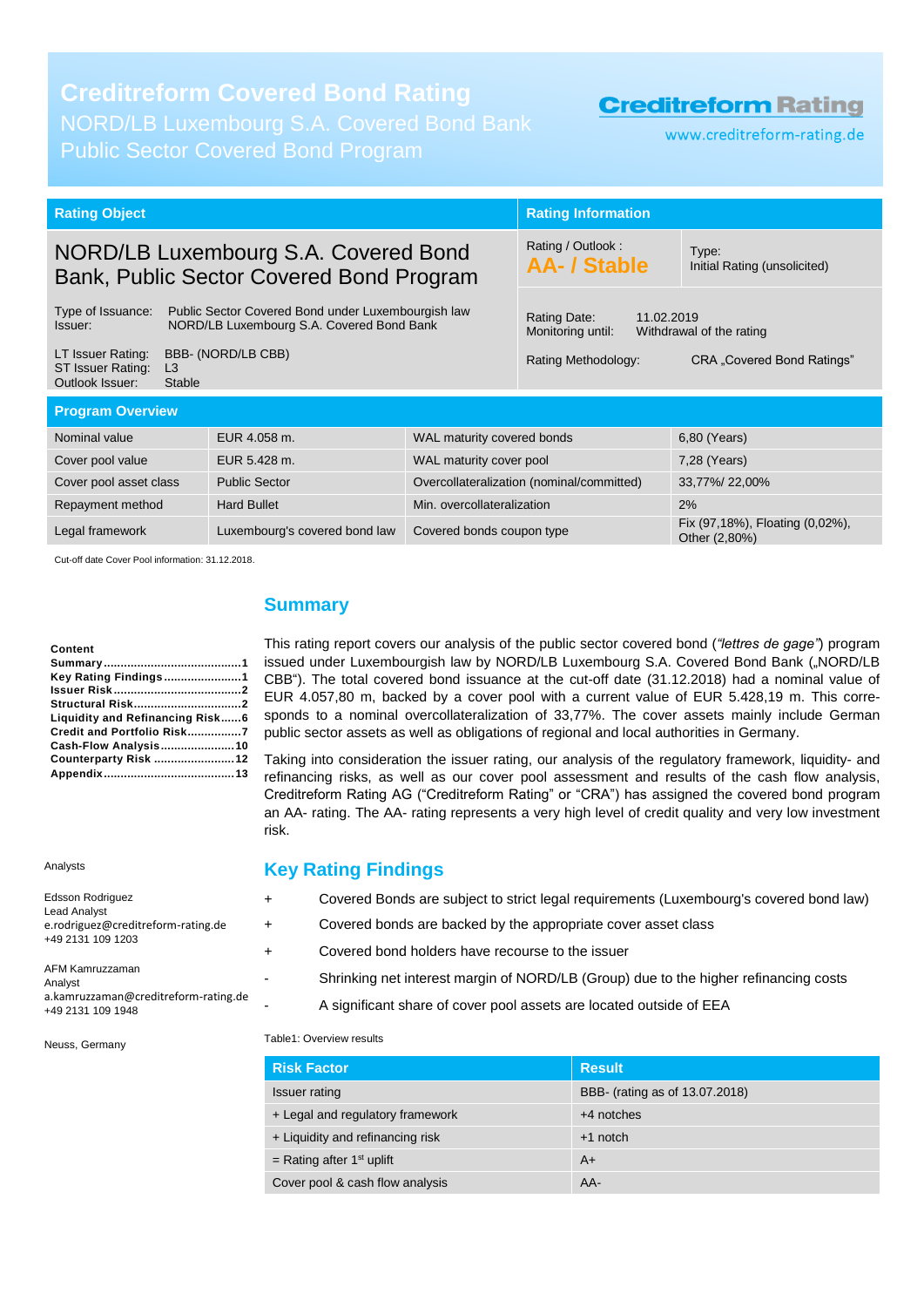# **Creditreform Covered Bond Rating**

Public Sector Covered Bond Program

# **Creditreform Rating**

www.creditreform-rating.de

| <b>Rating Object</b>                                                                                                            |  | <b>Rating Information</b>                                                                                                                                                                                                        |  |  |
|---------------------------------------------------------------------------------------------------------------------------------|--|----------------------------------------------------------------------------------------------------------------------------------------------------------------------------------------------------------------------------------|--|--|
| NORD/LB Luxembourg S.A. Covered Bond<br>Bank, Public Sector Covered Bond Program                                                |  | Type:<br>Initial Rating (unsolicited)                                                                                                                                                                                            |  |  |
| Type of Issuance:<br>Public Sector Covered Bond under Luxembourgish law<br>NORD/LB Luxembourg S.A. Covered Bond Bank<br>Issuer: |  | Rating Date:<br>11.02.2019<br>Monitoring until:<br>Withdrawal of the rating                                                                                                                                                      |  |  |
| BBB- (NORD/LB CBB)<br>L <sub>3</sub><br><b>Stable</b>                                                                           |  | <b>CRA</b> "Covered Bond Ratings"                                                                                                                                                                                                |  |  |
| <b>Program Overview</b>                                                                                                         |  |                                                                                                                                                                                                                                  |  |  |
|                                                                                                                                 |  | 6,80 (Years)                                                                                                                                                                                                                     |  |  |
|                                                                                                                                 |  | 7,28 (Years)                                                                                                                                                                                                                     |  |  |
| Cover pool asset class<br><b>Public Sector</b>                                                                                  |  | 33,77%/22,00%                                                                                                                                                                                                                    |  |  |
|                                                                                                                                 |  | 2%                                                                                                                                                                                                                               |  |  |
|                                                                                                                                 |  | Fix (97,18%), Floating (0,02%),<br>Other (2,80%)                                                                                                                                                                                 |  |  |
|                                                                                                                                 |  | Rating / Outlook:<br><b>AA- / Stable</b><br>Rating Methodology:<br>WAL maturity covered bonds<br>WAL maturity cover pool<br>Overcollateralization (nominal/committed)<br>Min. overcollateralization<br>Covered bonds coupon type |  |  |

Cut-off date Cover Pool information: 31.12.2018.

#### **Content**

| Key Rating Findings1            |  |
|---------------------------------|--|
|                                 |  |
|                                 |  |
| Liquidity and Refinancing Risk6 |  |
| Credit and Portfolio Risk7      |  |
| Cash-Flow Analysis10            |  |
| Counterparty Risk 12            |  |
|                                 |  |

Analysts

| Edsson Rodriguez<br><b>Lead Analyst</b><br>e.rodriguez@creditreform-rating.de<br>+49 2131 109 1203 |
|----------------------------------------------------------------------------------------------------|
| AFM Kamruzzaman<br>Analyst<br>a.kamruzzaman@creditreform-rating.de                                 |

### a.kamruzzaman@creditreform-rating.de +49 2131 109 1948

Neuss, Germany

### <span id="page-0-0"></span>**Summary**

This rating report covers our analysis of the public sector covered bond (*"lettres de gage"*) program issued under Luxembourgish law by NORD/LB Luxembourg S.A. Covered Bond Bank ("NORD/LB CBB"). The total covered bond issuance at the cut-off date (31.12.2018) had a nominal value of EUR 4.057,80 m, backed by a cover pool with a current value of EUR 5.428,19 m. This corresponds to a nominal overcollateralization of 33,77%. The cover assets mainly include German public sector assets as well as obligations of regional and local authorities in Germany.

Taking into consideration the issuer rating, our analysis of the regulatory framework, liquidity- and refinancing risks, as well as our cover pool assessment and results of the cash flow analysis, Creditreform Rating AG ("Creditreform Rating" or "CRA") has assigned the covered bond program an AA- rating. The AA- rating represents a very high level of credit quality and very low investment risk.

### <span id="page-0-1"></span>**Key Rating Findings**

- + Covered Bonds are subject to strict legal requirements (Luxembourg's covered bond law) + Covered bonds are backed by the appropriate cover asset class + Covered bond holders have recourse to the issuer
	- Shrinking net interest margin of NORD/LB (Group) due to the higher refinancing costs
		- A significant share of cover pool assets are located outside of EEA

#### Table1: Overview results

| <b>Risk Factor</b>               | <b>Result</b>                  |
|----------------------------------|--------------------------------|
| Issuer rating                    | BBB- (rating as of 13.07.2018) |
| + Legal and regulatory framework | $+4$ notches                   |
| + Liquidity and refinancing risk | $+1$ notch                     |
| = Rating after $1st$ uplift      | $A+$                           |
| Cover pool & cash flow analysis  | AA-                            |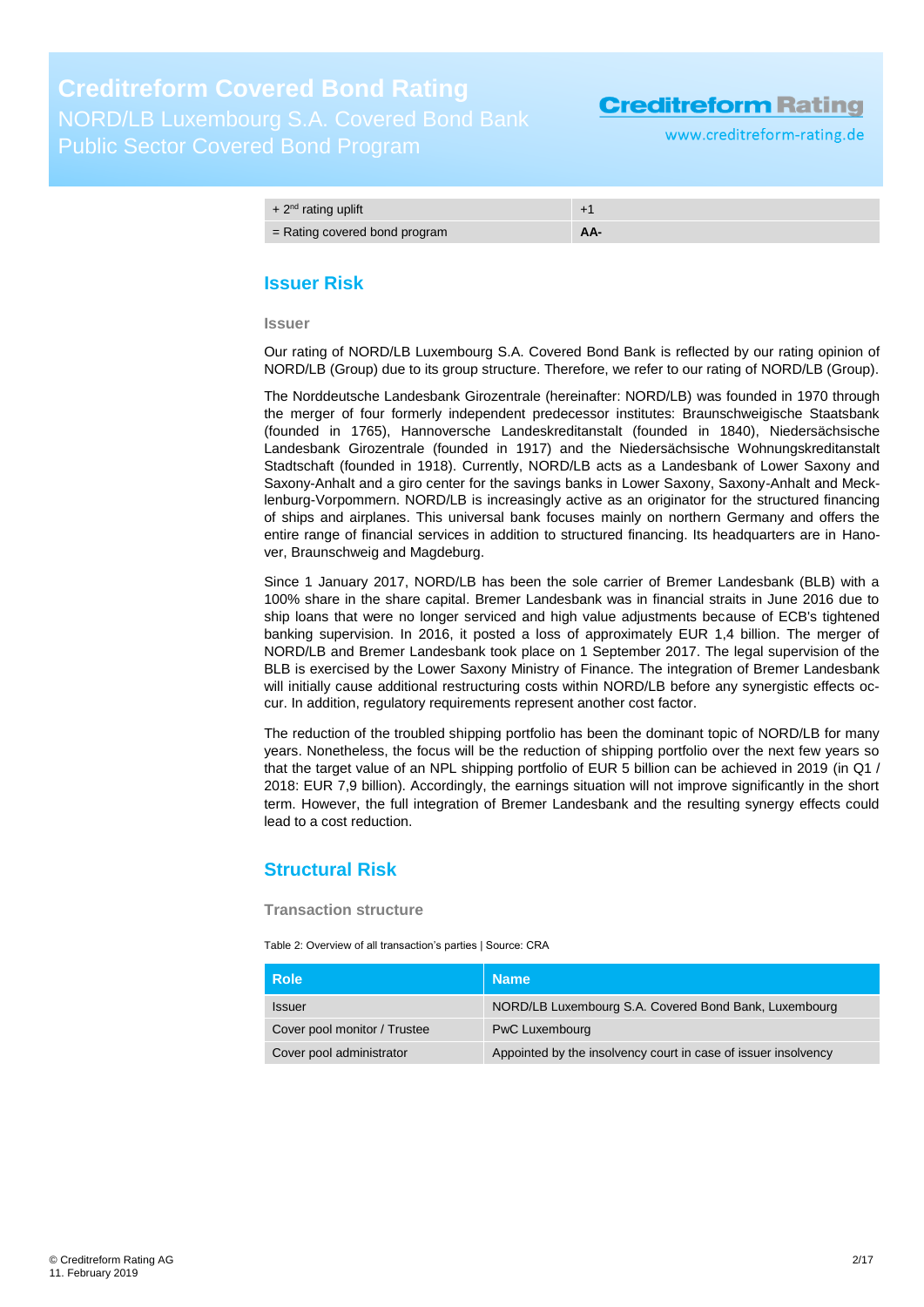www.creditreform-rating.de

| $+2nd$ rating uplift            |     |
|---------------------------------|-----|
| $=$ Rating covered bond program | AA- |

### <span id="page-1-0"></span>**Issuer Risk**

**Issuer**

Our rating of NORD/LB Luxembourg S.A. Covered Bond Bank is reflected by our rating opinion of NORD/LB (Group) due to its group structure. Therefore, we refer to our rating of NORD/LB (Group).

The Norddeutsche Landesbank Girozentrale (hereinafter: NORD/LB) was founded in 1970 through the merger of four formerly independent predecessor institutes: Braunschweigische Staatsbank (founded in 1765), Hannoversche Landeskreditanstalt (founded in 1840), Niedersächsische Landesbank Girozentrale (founded in 1917) and the Niedersächsische Wohnungskreditanstalt Stadtschaft (founded in 1918). Currently, NORD/LB acts as a Landesbank of Lower Saxony and Saxony-Anhalt and a giro center for the savings banks in Lower Saxony, Saxony-Anhalt and Mecklenburg-Vorpommern. NORD/LB is increasingly active as an originator for the structured financing of ships and airplanes. This universal bank focuses mainly on northern Germany and offers the entire range of financial services in addition to structured financing. Its headquarters are in Hanover, Braunschweig and Magdeburg.

Since 1 January 2017, NORD/LB has been the sole carrier of Bremer Landesbank (BLB) with a 100% share in the share capital. Bremer Landesbank was in financial straits in June 2016 due to ship loans that were no longer serviced and high value adjustments because of ECB's tightened banking supervision. In 2016, it posted a loss of approximately EUR 1,4 billion. The merger of NORD/LB and Bremer Landesbank took place on 1 September 2017. The legal supervision of the BLB is exercised by the Lower Saxony Ministry of Finance. The integration of Bremer Landesbank will initially cause additional restructuring costs within NORD/LB before any synergistic effects occur. In addition, regulatory requirements represent another cost factor.

The reduction of the troubled shipping portfolio has been the dominant topic of NORD/LB for many years. Nonetheless, the focus will be the reduction of shipping portfolio over the next few years so that the target value of an NPL shipping portfolio of EUR 5 billion can be achieved in 2019 (in Q1 / 2018: EUR 7,9 billion). Accordingly, the earnings situation will not improve significantly in the short term. However, the full integration of Bremer Landesbank and the resulting synergy effects could lead to a cost reduction.

### <span id="page-1-1"></span>**Structural Risk**

#### **Transaction structure**

Table 2: Overview of all transaction's parties | Source: CRA

| <b>Role</b>                  | <b>Name</b>                                                    |
|------------------------------|----------------------------------------------------------------|
| <b>Issuer</b>                | NORD/LB Luxembourg S.A. Covered Bond Bank, Luxembourg          |
| Cover pool monitor / Trustee | PwC Luxembourg                                                 |
| Cover pool administrator     | Appointed by the insolvency court in case of issuer insolvency |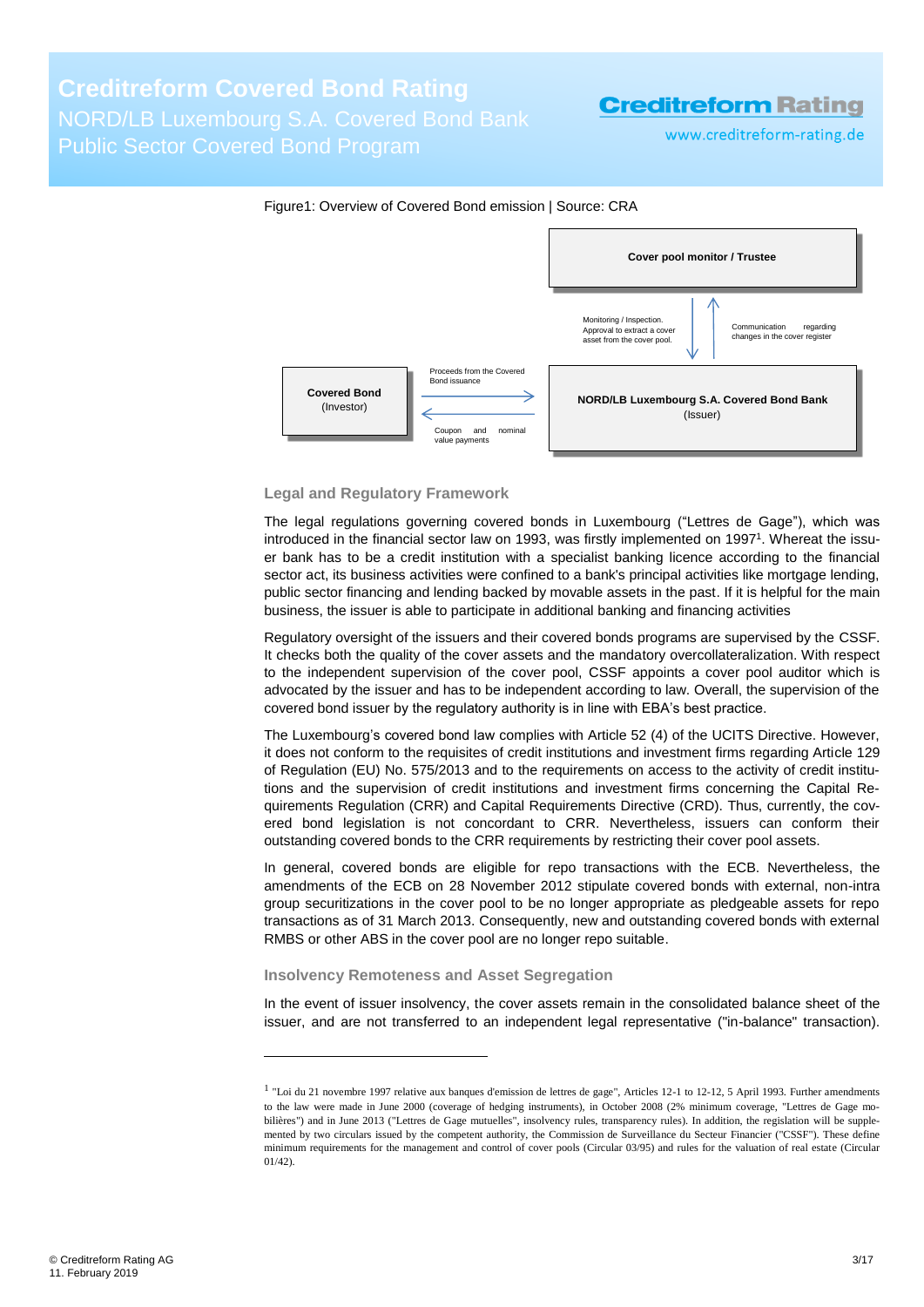# **Creditreform Covered Bond Rating** NORD/LB Luxembourg S.A. Covered Bond Bank Public Sector Covered Bond Program

**Creditreform Rating** 

www.creditreform-rating.de



#### **Legal and Regulatory Framework**

The legal regulations governing covered bonds in Luxembourg ("Lettres de Gage"), which was introduced in the financial sector law on 1993, was firstly implemented on 1997<sup>1</sup>. Whereat the issuer bank has to be a credit institution with a specialist banking licence according to the financial sector act, its business activities were confined to a bank's principal activities like mortgage lending, public sector financing and lending backed by movable assets in the past. If it is helpful for the main business, the issuer is able to participate in additional banking and financing activities

Regulatory oversight of the issuers and their covered bonds programs are supervised by the CSSF. It checks both the quality of the cover assets and the mandatory overcollateralization. With respect to the independent supervision of the cover pool, CSSF appoints a cover pool auditor which is advocated by the issuer and has to be independent according to law. Overall, the supervision of the covered bond issuer by the regulatory authority is in line with EBA's best practice.

The Luxembourg's covered bond law complies with Article 52 (4) of the UCITS Directive. However, it does not conform to the requisites of credit institutions and investment firms regarding Article 129 of Regulation (EU) No. 575/2013 and to the requirements on access to the activity of credit institutions and the supervision of credit institutions and investment firms concerning the Capital Requirements Regulation (CRR) and Capital Requirements Directive (CRD). Thus, currently, the covered bond legislation is not concordant to CRR. Nevertheless, issuers can conform their outstanding covered bonds to the CRR requirements by restricting their cover pool assets.

In general, covered bonds are eligible for repo transactions with the ECB. Nevertheless, the amendments of the ECB on 28 November 2012 stipulate covered bonds with external, non-intra group securitizations in the cover pool to be no longer appropriate as pledgeable assets for repo transactions as of 31 March 2013. Consequently, new and outstanding covered bonds with external RMBS or other ABS in the cover pool are no longer repo suitable.

#### **Insolvency Remoteness and Asset Segregation**

-

In the event of issuer insolvency, the cover assets remain in the consolidated balance sheet of the issuer, and are not transferred to an independent legal representative ("in-balance" transaction).

<sup>&</sup>lt;sup>1</sup> "Loi du 21 novembre 1997 relative aux banques d'emission de lettres de gage", Articles 12-1 to 12-12, 5 April 1993. Further amendments to the law were made in June 2000 (coverage of hedging instruments), in October 2008 (2% minimum coverage, "Lettres de Gage mobilières") and in June 2013 ("Lettres de Gage mutuelles", insolvency rules, transparency rules). In addition, the regislation will be supplemented by two circulars issued by the competent authority, the Commission de Surveillance du Secteur Financier ("CSSF"). These define minimum requirements for the management and control of cover pools (Circular 03/95) and rules for the valuation of real estate (Circular  $01/42$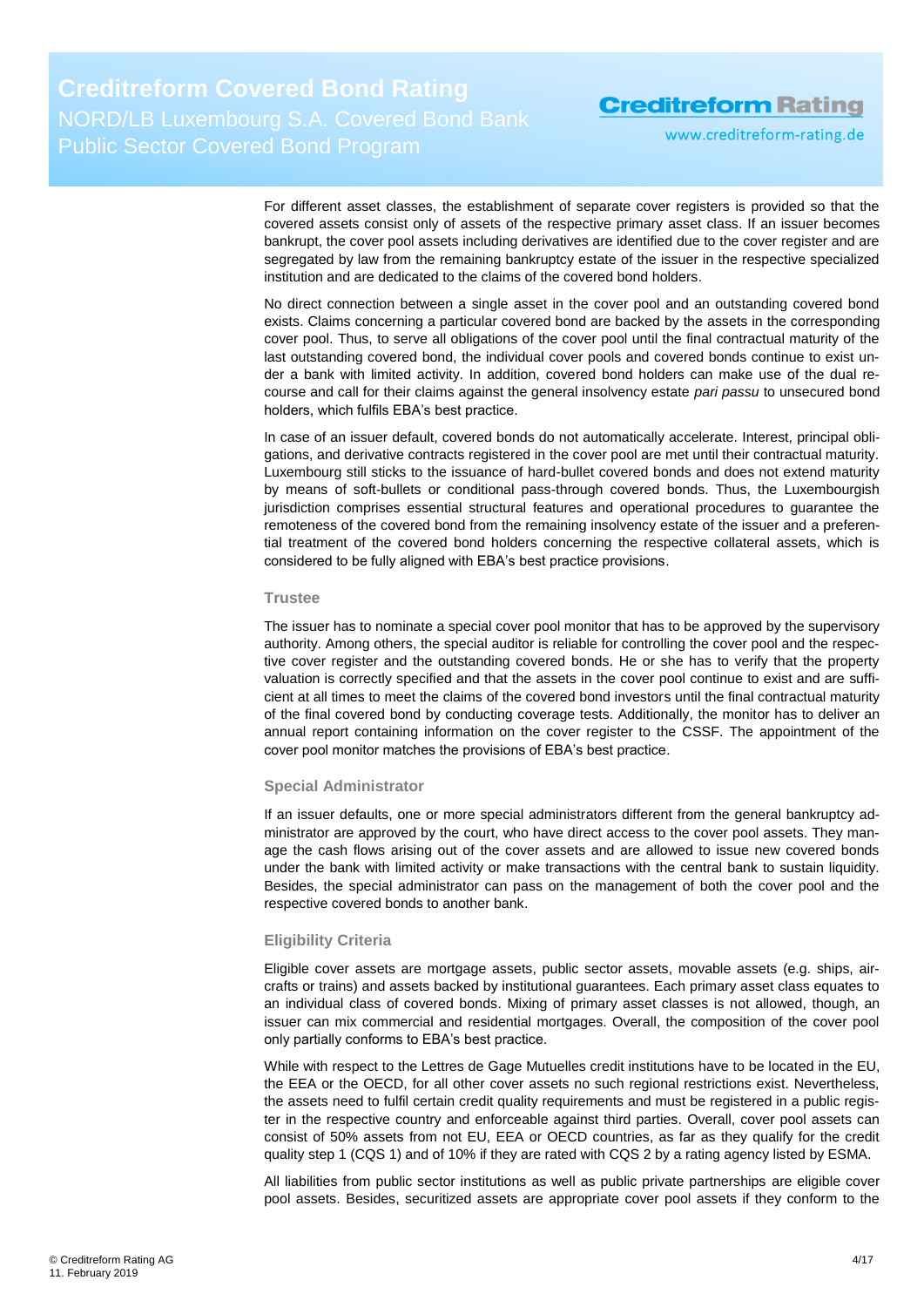www.creditreform-rating.de

For different asset classes, the establishment of separate cover registers is provided so that the covered assets consist only of assets of the respective primary asset class. If an issuer becomes bankrupt, the cover pool assets including derivatives are identified due to the cover register and are segregated by law from the remaining bankruptcy estate of the issuer in the respective specialized institution and are dedicated to the claims of the covered bond holders.

No direct connection between a single asset in the cover pool and an outstanding covered bond exists. Claims concerning a particular covered bond are backed by the assets in the corresponding cover pool. Thus, to serve all obligations of the cover pool until the final contractual maturity of the last outstanding covered bond, the individual cover pools and covered bonds continue to exist under a bank with limited activity. In addition, covered bond holders can make use of the dual recourse and call for their claims against the general insolvency estate *pari passu* to unsecured bond holders, which fulfils EBA's best practice.

In case of an issuer default, covered bonds do not automatically accelerate. Interest, principal obligations, and derivative contracts registered in the cover pool are met until their contractual maturity. Luxembourg still sticks to the issuance of hard-bullet covered bonds and does not extend maturity by means of soft-bullets or conditional pass-through covered bonds. Thus, the Luxembourgish jurisdiction comprises essential structural features and operational procedures to guarantee the remoteness of the covered bond from the remaining insolvency estate of the issuer and a preferential treatment of the covered bond holders concerning the respective collateral assets, which is considered to be fully aligned with EBA's best practice provisions.

#### **Trustee**

The issuer has to nominate a special cover pool monitor that has to be approved by the supervisory authority. Among others, the special auditor is reliable for controlling the cover pool and the respective cover register and the outstanding covered bonds. He or she has to verify that the property valuation is correctly specified and that the assets in the cover pool continue to exist and are sufficient at all times to meet the claims of the covered bond investors until the final contractual maturity of the final covered bond by conducting coverage tests. Additionally, the monitor has to deliver an annual report containing information on the cover register to the CSSF. The appointment of the cover pool monitor matches the provisions of EBA's best practice.

#### **Special Administrator**

If an issuer defaults, one or more special administrators different from the general bankruptcy administrator are approved by the court, who have direct access to the cover pool assets. They manage the cash flows arising out of the cover assets and are allowed to issue new covered bonds under the bank with limited activity or make transactions with the central bank to sustain liquidity. Besides, the special administrator can pass on the management of both the cover pool and the respective covered bonds to another bank.

#### **Eligibility Criteria**

Eligible cover assets are mortgage assets, public sector assets, movable assets (e.g. ships, aircrafts or trains) and assets backed by institutional guarantees. Each primary asset class equates to an individual class of covered bonds. Mixing of primary asset classes is not allowed, though, an issuer can mix commercial and residential mortgages. Overall, the composition of the cover pool only partially conforms to EBA's best practice.

While with respect to the Lettres de Gage Mutuelles credit institutions have to be located in the EU, the EEA or the OECD, for all other cover assets no such regional restrictions exist. Nevertheless, the assets need to fulfil certain credit quality requirements and must be registered in a public register in the respective country and enforceable against third parties. Overall, cover pool assets can consist of 50% assets from not EU, EEA or OECD countries, as far as they qualify for the credit quality step 1 (CQS 1) and of 10% if they are rated with CQS 2 by a rating agency listed by ESMA.

All liabilities from public sector institutions as well as public private partnerships are eligible cover pool assets. Besides, securitized assets are appropriate cover pool assets if they conform to the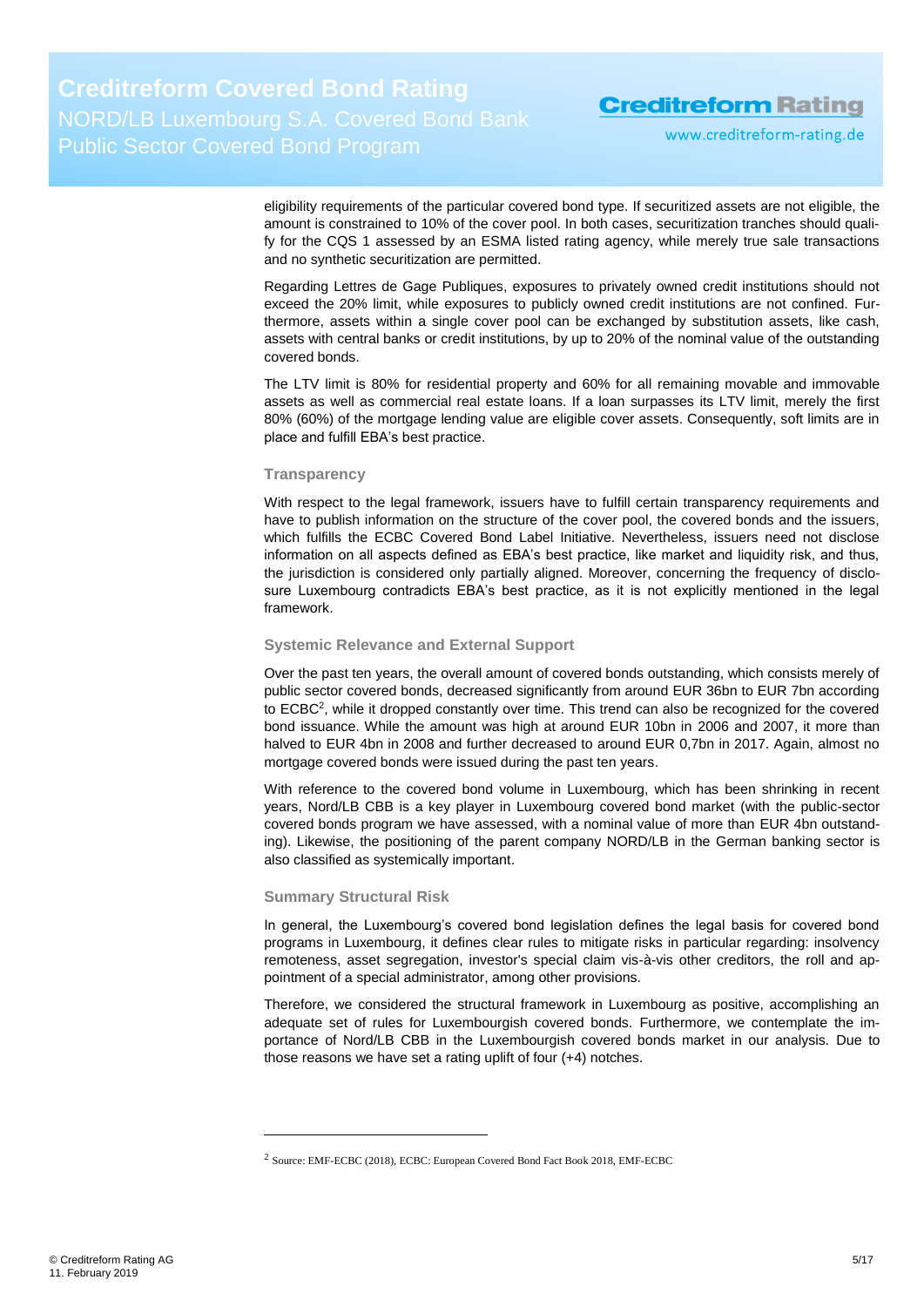www.creditreform-rating.de

eligibility requirements of the particular covered bond type. If securitized assets are not eligible, the amount is constrained to 10% of the cover pool. In both cases, securitization tranches should qualify for the CQS 1 assessed by an ESMA listed rating agency, while merely true sale transactions and no synthetic securitization are permitted.

Regarding Lettres de Gage Publiques, exposures to privately owned credit institutions should not exceed the 20% limit, while exposures to publicly owned credit institutions are not confined. Furthermore, assets within a single cover pool can be exchanged by substitution assets, like cash, assets with central banks or credit institutions, by up to 20% of the nominal value of the outstanding covered bonds.

The LTV limit is 80% for residential property and 60% for all remaining movable and immovable assets as well as commercial real estate loans. If a loan surpasses its LTV limit, merely the first 80% (60%) of the mortgage lending value are eligible cover assets. Consequently, soft limits are in place and fulfill EBA's best practice.

#### **Transparency**

With respect to the legal framework, issuers have to fulfill certain transparency requirements and have to publish information on the structure of the cover pool, the covered bonds and the issuers, which fulfills the ECBC Covered Bond Label Initiative. Nevertheless, issuers need not disclose information on all aspects defined as EBA's best practice, like market and liquidity risk, and thus, the jurisdiction is considered only partially aligned. Moreover, concerning the frequency of disclosure Luxembourg contradicts EBA's best practice, as it is not explicitly mentioned in the legal framework.

#### **Systemic Relevance and External Support**

Over the past ten years, the overall amount of covered bonds outstanding, which consists merely of public sector covered bonds, decreased significantly from around EUR 36bn to EUR 7bn according to ECBC<sup>2</sup>, while it dropped constantly over time. This trend can also be recognized for the covered bond issuance. While the amount was high at around EUR 10bn in 2006 and 2007, it more than halved to EUR 4bn in 2008 and further decreased to around EUR 0,7bn in 2017. Again, almost no mortgage covered bonds were issued during the past ten years.

With reference to the covered bond volume in Luxembourg, which has been shrinking in recent years, Nord/LB CBB is a key player in Luxembourg covered bond market (with the public-sector covered bonds program we have assessed, with a nominal value of more than EUR 4bn outstanding). Likewise, the positioning of the parent company NORD/LB in the German banking sector is also classified as systemically important.

#### **Summary Structural Risk**

-

In general, the Luxembourg's covered bond legislation defines the legal basis for covered bond programs in Luxembourg, it defines clear rules to mitigate risks in particular regarding: insolvency remoteness, asset segregation, investor's special claim vis-à-vis other creditors, the roll and appointment of a special administrator, among other provisions.

Therefore, we considered the structural framework in Luxembourg as positive, accomplishing an adequate set of rules for Luxembourgish covered bonds. Furthermore, we contemplate the importance of Nord/LB CBB in the Luxembourgish covered bonds market in our analysis. Due to those reasons we have set a rating uplift of four (+4) notches.

<sup>2</sup> Source: EMF-ECBC (2018), ECBC: European Covered Bond Fact Book 2018, EMF-ECBC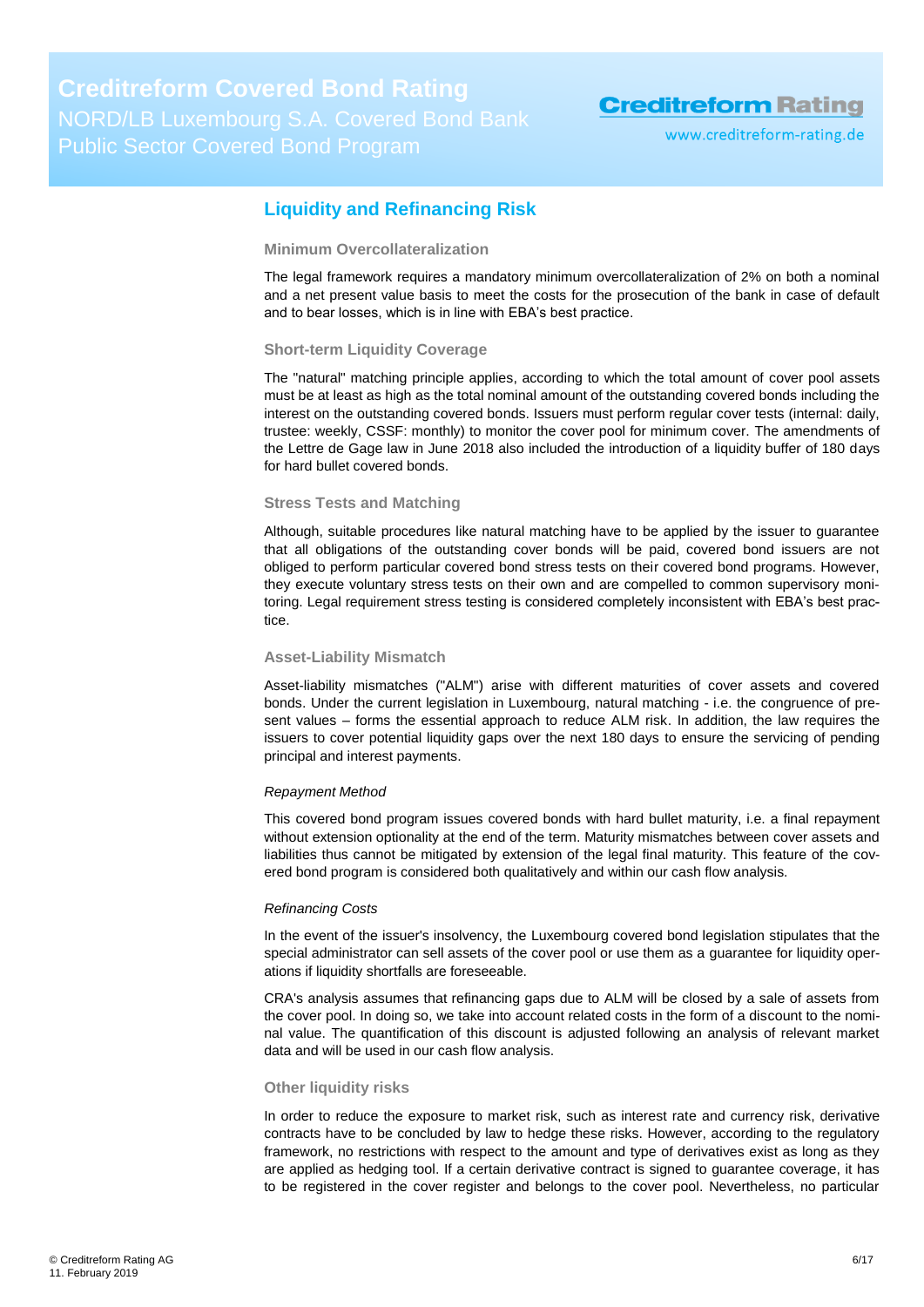www.creditreform-rating.de

### <span id="page-5-0"></span>**Liquidity and Refinancing Risk**

#### **Minimum Overcollateralization**

The legal framework requires a mandatory minimum overcollateralization of 2% on both a nominal and a net present value basis to meet the costs for the prosecution of the bank in case of default and to bear losses, which is in line with EBA's best practice.

#### **Short-term Liquidity Coverage**

The "natural" matching principle applies, according to which the total amount of cover pool assets must be at least as high as the total nominal amount of the outstanding covered bonds including the interest on the outstanding covered bonds. Issuers must perform regular cover tests (internal: daily, trustee: weekly, CSSF: monthly) to monitor the cover pool for minimum cover. The amendments of the Lettre de Gage law in June 2018 also included the introduction of a liquidity buffer of 180 days for hard bullet covered bonds.

#### **Stress Tests and Matching**

Although, suitable procedures like natural matching have to be applied by the issuer to guarantee that all obligations of the outstanding cover bonds will be paid, covered bond issuers are not obliged to perform particular covered bond stress tests on their covered bond programs. However, they execute voluntary stress tests on their own and are compelled to common supervisory monitoring. Legal requirement stress testing is considered completely inconsistent with EBA's best practice.

#### **Asset-Liability Mismatch**

Asset-liability mismatches ("ALM") arise with different maturities of cover assets and covered bonds. Under the current legislation in Luxembourg, natural matching - i.e. the congruence of present values – forms the essential approach to reduce ALM risk. In addition, the law requires the issuers to cover potential liquidity gaps over the next 180 days to ensure the servicing of pending principal and interest payments.

#### *Repayment Method*

This covered bond program issues covered bonds with hard bullet maturity, i.e. a final repayment without extension optionality at the end of the term. Maturity mismatches between cover assets and liabilities thus cannot be mitigated by extension of the legal final maturity. This feature of the covered bond program is considered both qualitatively and within our cash flow analysis.

#### *Refinancing Costs*

In the event of the issuer's insolvency, the Luxembourg covered bond legislation stipulates that the special administrator can sell assets of the cover pool or use them as a guarantee for liquidity operations if liquidity shortfalls are foreseeable.

CRA's analysis assumes that refinancing gaps due to ALM will be closed by a sale of assets from the cover pool. In doing so, we take into account related costs in the form of a discount to the nominal value. The quantification of this discount is adjusted following an analysis of relevant market data and will be used in our cash flow analysis.

#### **Other liquidity risks**

In order to reduce the exposure to market risk, such as interest rate and currency risk, derivative contracts have to be concluded by law to hedge these risks. However, according to the regulatory framework, no restrictions with respect to the amount and type of derivatives exist as long as they are applied as hedging tool. If a certain derivative contract is signed to guarantee coverage, it has to be registered in the cover register and belongs to the cover pool. Nevertheless, no particular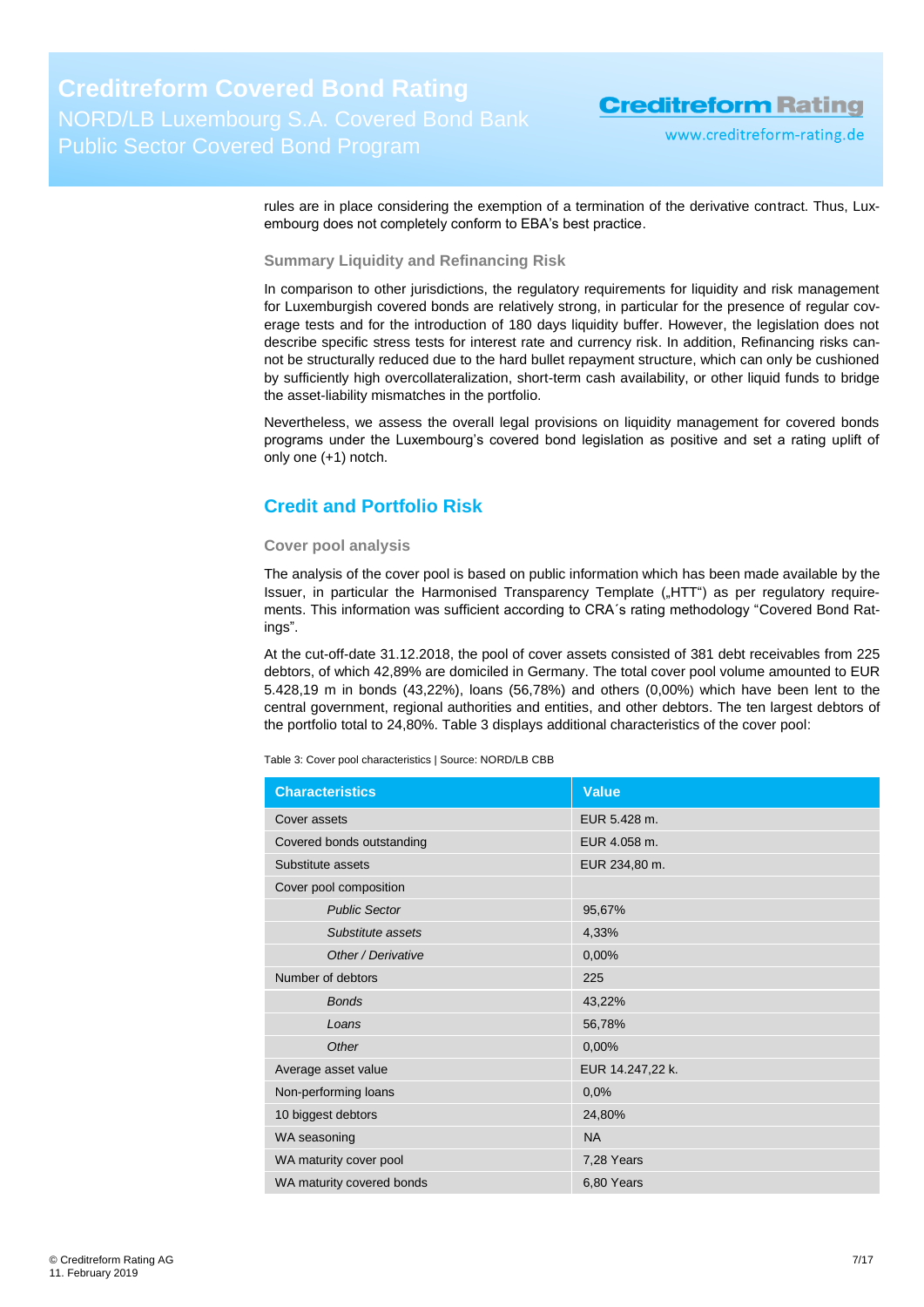www.creditreform-rating.de

rules are in place considering the exemption of a termination of the derivative contract. Thus, Luxembourg does not completely conform to EBA's best practice.

**Summary Liquidity and Refinancing Risk**

In comparison to other jurisdictions, the regulatory requirements for liquidity and risk management for Luxemburgish covered bonds are relatively strong, in particular for the presence of regular coverage tests and for the introduction of 180 days liquidity buffer. However, the legislation does not describe specific stress tests for interest rate and currency risk. In addition, Refinancing risks cannot be structurally reduced due to the hard bullet repayment structure, which can only be cushioned by sufficiently high overcollateralization, short-term cash availability, or other liquid funds to bridge the asset-liability mismatches in the portfolio.

Nevertheless, we assess the overall legal provisions on liquidity management for covered bonds programs under the Luxembourg's covered bond legislation as positive and set a rating uplift of only one (+1) notch.

### <span id="page-6-0"></span>**Credit and Portfolio Risk**

#### **Cover pool analysis**

The analysis of the cover pool is based on public information which has been made available by the Issuer, in particular the Harmonised Transparency Template ("HTT") as per requilatory requirements. This information was sufficient according to CRA´s rating methodology "Covered Bond Ratings".

At the cut-off-date 31.12.2018, the pool of cover assets consisted of 381 debt receivables from 225 debtors, of which 42,89% are domiciled in Germany. The total cover pool volume amounted to EUR 5.428,19 m in bonds (43,22%), loans (56,78%) and others (0,00%) which have been lent to the central government, regional authorities and entities, and other debtors. The ten largest debtors of the portfolio total to 24,80%. [Table 3](#page-6-1) displays additional characteristics of the cover pool:

<span id="page-6-1"></span>Table 3: Cover pool characteristics | Source: NORD/LB CBB

| <b>Characteristics</b>    | Value            |
|---------------------------|------------------|
| Cover assets              | EUR 5.428 m.     |
| Covered bonds outstanding | EUR 4.058 m.     |
| Substitute assets         | EUR 234,80 m.    |
| Cover pool composition    |                  |
| <b>Public Sector</b>      | 95,67%           |
| Substitute assets         | 4,33%            |
| Other / Derivative        | 0,00%            |
| Number of debtors         | 225              |
| <b>Bonds</b>              | 43,22%           |
| Loans                     | 56,78%           |
| Other                     | 0,00%            |
| Average asset value       | EUR 14.247,22 k. |
| Non-performing loans      | 0,0%             |
| 10 biggest debtors        | 24,80%           |
| WA seasoning              | <b>NA</b>        |
| WA maturity cover pool    | 7,28 Years       |
| WA maturity covered bonds | 6,80 Years       |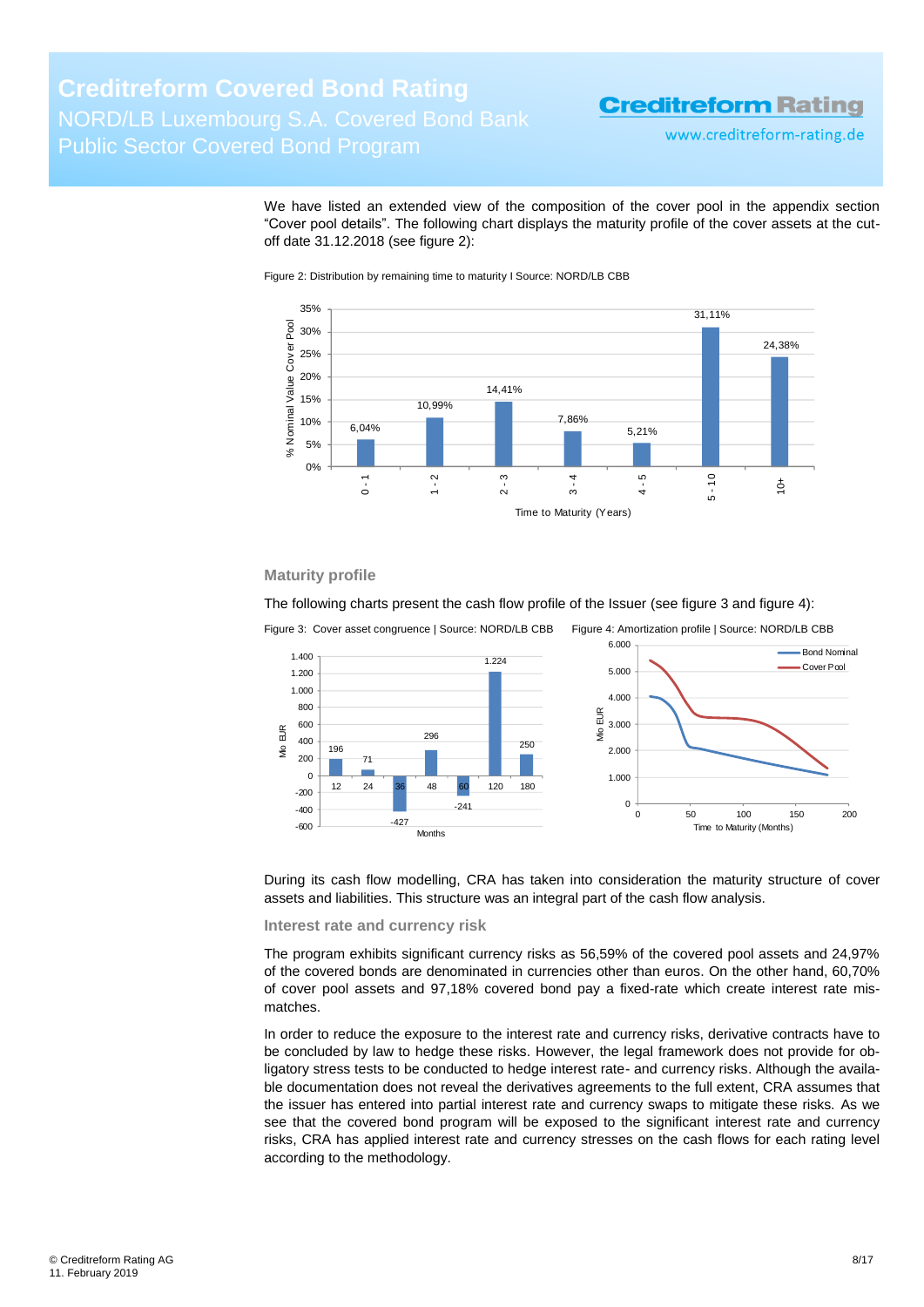www.creditreform-rating.de

We have listed an extended view of the composition of the cover pool in the appendix section "Cover pool details". The following chart displays the maturity profile of the cover assets at the cutoff date 31.12.2018 (see [figure 2\)](#page-7-0):

<span id="page-7-0"></span>Figure 2: Distribution by remaining time to maturity I Source: NORD/LB CBB



#### **Maturity profile**

The following charts present the cash flow profile of the Issuer (see [figure 3](#page-7-1) an[d figure 4\)](#page-7-2):

<span id="page-7-1"></span>

<span id="page-7-2"></span>

During its cash flow modelling, CRA has taken into consideration the maturity structure of cover assets and liabilities. This structure was an integral part of the cash flow analysis.

**Interest rate and currency risk**

The program exhibits significant currency risks as 56,59% of the covered pool assets and 24,97% of the covered bonds are denominated in currencies other than euros. On the other hand, 60,70% of cover pool assets and 97,18% covered bond pay a fixed-rate which create interest rate mismatches.

In order to reduce the exposure to the interest rate and currency risks, derivative contracts have to be concluded by law to hedge these risks. However, the legal framework does not provide for obligatory stress tests to be conducted to hedge interest rate- and currency risks. Although the available documentation does not reveal the derivatives agreements to the full extent, CRA assumes that the issuer has entered into partial interest rate and currency swaps to mitigate these risks. As we see that the covered bond program will be exposed to the significant interest rate and currency risks, CRA has applied interest rate and currency stresses on the cash flows for each rating level according to the methodology.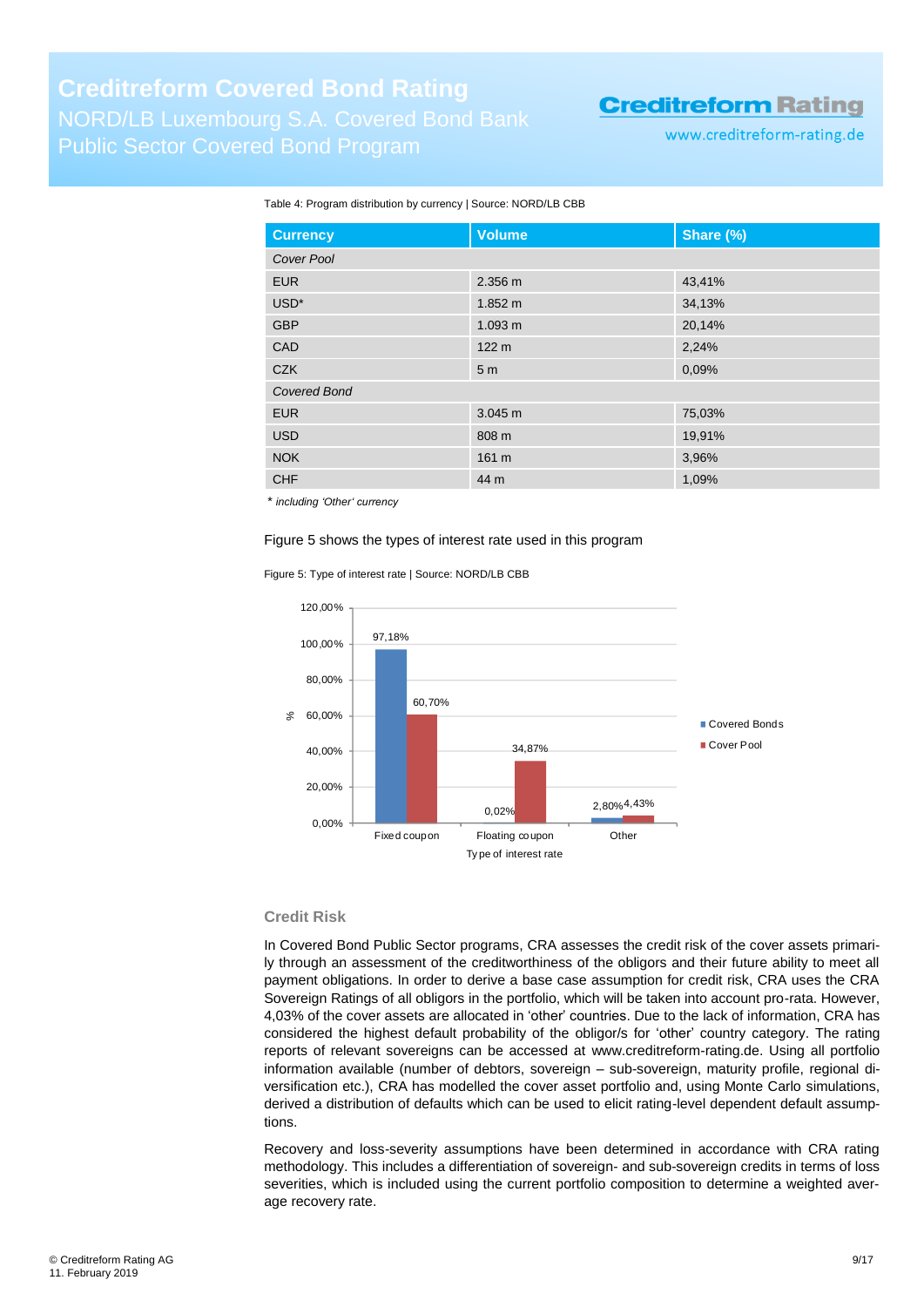www.creditreform-rating.de

#### Table 4: Program distribution by currency | Source: NORD/LB CBB

| <b>Currency</b>     | <b>Volume</b>     | Share (%) |  |  |
|---------------------|-------------------|-----------|--|--|
| Cover Pool          |                   |           |  |  |
| <b>EUR</b>          | 2.356 m           | 43,41%    |  |  |
| USD <sup>*</sup>    | $1.852 \text{ m}$ | 34,13%    |  |  |
| <b>GBP</b>          | 1.093 m           | 20,14%    |  |  |
| CAD                 | 122 <sub>m</sub>  | 2,24%     |  |  |
| <b>CZK</b>          | 5 <sub>m</sub>    | 0,09%     |  |  |
| <b>Covered Bond</b> |                   |           |  |  |
| <b>EUR</b>          | 3.045 m           | 75,03%    |  |  |
| <b>USD</b>          | 808 m             | 19,91%    |  |  |
| <b>NOK</b>          | 161 m             | 3,96%     |  |  |
| <b>CHF</b>          | 44 m              | 1,09%     |  |  |

\* *including 'Other' currency*

#### Figure 5 shows the types of interest rate used in this program

Figure 5: Type of interest rate | Source: NORD/LB CBB



#### **Credit Risk**

In Covered Bond Public Sector programs, CRA assesses the credit risk of the cover assets primarily through an assessment of the creditworthiness of the obligors and their future ability to meet all payment obligations. In order to derive a base case assumption for credit risk, CRA uses the CRA Sovereign Ratings of all obligors in the portfolio, which will be taken into account pro-rata. However, 4,03% of the cover assets are allocated in 'other' countries. Due to the lack of information, CRA has considered the highest default probability of the obligor/s for 'other' country category. The rating reports of relevant sovereigns can be accessed at [www.creditreform-rating.de.](http://www.creditreform-rating.de/) Using all portfolio information available (number of debtors, sovereign – sub-sovereign, maturity profile, regional diversification etc.), CRA has modelled the cover asset portfolio and, using Monte Carlo simulations, derived a distribution of defaults which can be used to elicit rating-level dependent default assumptions.

Recovery and loss-severity assumptions have been determined in accordance with CRA rating methodology. This includes a differentiation of sovereign- and sub-sovereign credits in terms of loss severities, which is included using the current portfolio composition to determine a weighted average recovery rate.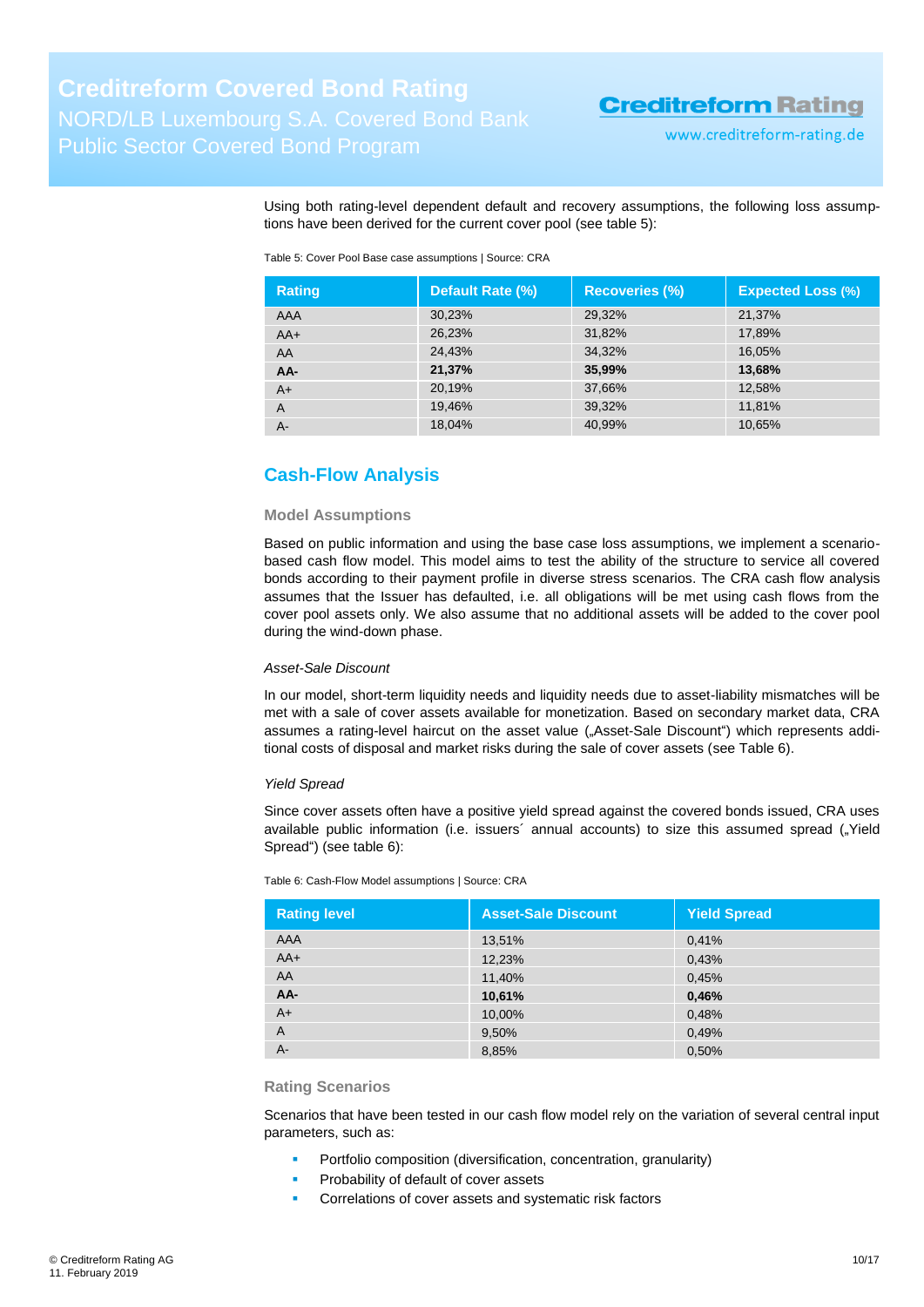www.creditreform-rating.de

Using both rating-level dependent default and recovery assumptions, the following loss assumptions have been derived for the current cover pool (see [table](#page-9-1) 5):

<span id="page-9-1"></span>Table 5: Cover Pool Base case assumptions | Source: CRA

| <b>Rating</b>  | Default Rate (%) | <b>Recoveries (%)</b> | <b>Expected Loss (%)</b> |
|----------------|------------------|-----------------------|--------------------------|
| AAA            | 30,23%           | 29,32%                | 21,37%                   |
| $AA+$          | 26,23%           | 31,82%                | 17,89%                   |
| AA             | 24.43%           | 34,32%                | 16,05%                   |
| AA-            | 21,37%           | 35,99%                | 13,68%                   |
| $A+$           | 20,19%           | 37,66%                | 12,58%                   |
| $\overline{A}$ | 19,46%           | 39,32%                | 11,81%                   |
| A-             | 18,04%           | 40,99%                | 10,65%                   |

### <span id="page-9-0"></span>**Cash-Flow Analysis**

#### **Model Assumptions**

Based on public information and using the base case loss assumptions, we implement a scenariobased cash flow model. This model aims to test the ability of the structure to service all covered bonds according to their payment profile in diverse stress scenarios. The CRA cash flow analysis assumes that the Issuer has defaulted, i.e. all obligations will be met using cash flows from the cover pool assets only. We also assume that no additional assets will be added to the cover pool during the wind-down phase.

#### *Asset-Sale Discount*

In our model, short-term liquidity needs and liquidity needs due to asset-liability mismatches will be met with a sale of cover assets available for monetization. Based on secondary market data, CRA assumes a rating-level haircut on the asset value ("Asset-Sale Discount") which represents additional costs of disposal and market risks during the sale of cover assets (see [Table 6\)](#page-9-2).

#### *Yield Spread*

Since cover assets often have a positive yield spread against the covered bonds issued, CRA uses available public information (i.e. issuers' annual accounts) to size this assumed spread ("Yield Spread") (see [table 6\)](#page-9-2):

<span id="page-9-2"></span>Table 6: Cash-Flow Model assumptions | Source: CRA

| <b>Rating level</b> | <b>Asset-Sale Discount</b> | <b>Yield Spread</b> |
|---------------------|----------------------------|---------------------|
| <b>AAA</b>          | 13,51%                     | 0,41%               |
| $AA+$               | 12,23%                     | 0,43%               |
| AA                  | 11,40%                     | 0,45%               |
| AA-                 | 10,61%                     | 0,46%               |
| $A+$                | 10,00%                     | 0,48%               |
| A                   | 9,50%                      | 0,49%               |
| $A -$               | 8,85%                      | 0,50%               |

#### **Rating Scenarios**

Scenarios that have been tested in our cash flow model rely on the variation of several central input parameters, such as:

- Portfolio composition (diversification, concentration, granularity)
- Probability of default of cover assets
- Correlations of cover assets and systematic risk factors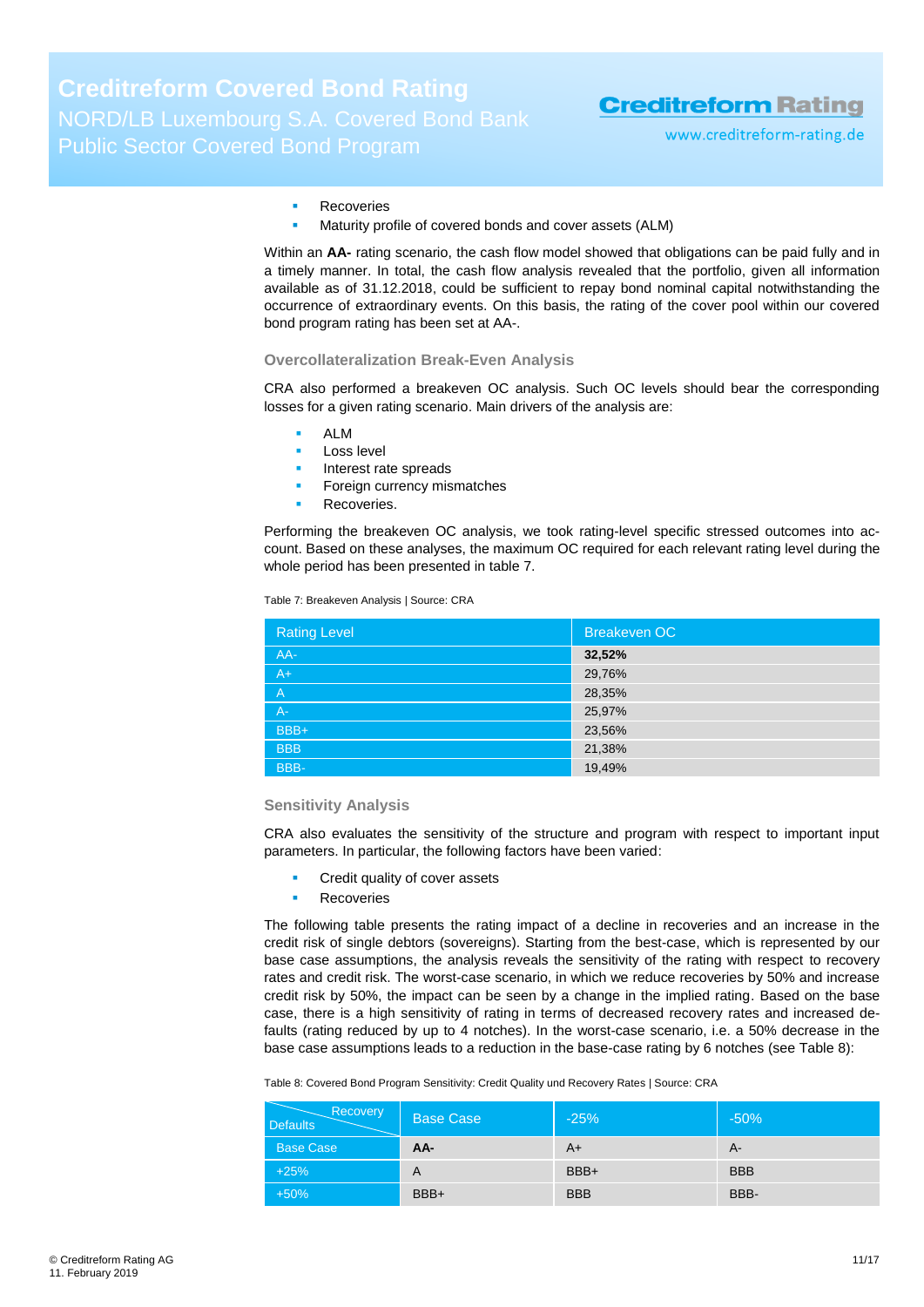www.creditreform-rating.de

#### Recoveries

Maturity profile of covered bonds and cover assets (ALM)

Within an **AA-** rating scenario, the cash flow model showed that obligations can be paid fully and in a timely manner. In total, the cash flow analysis revealed that the portfolio, given all information available as of 31.12.2018, could be sufficient to repay bond nominal capital notwithstanding the occurrence of extraordinary events. On this basis, the rating of the cover pool within our covered bond program rating has been set at AA-.

#### **Overcollateralization Break-Even Analysis**

CRA also performed a breakeven OC analysis. Such OC levels should bear the corresponding losses for a given rating scenario. Main drivers of the analysis are:

- ALM
- Loss level
- Interest rate spreads
- Foreign currency mismatches
- Recoveries.

Performing the breakeven OC analysis, we took rating-level specific stressed outcomes into account. Based on these analyses, the maximum OC required for each relevant rating level during the whole period has been presented in [table 7.](#page-10-0)

<span id="page-10-0"></span>Table 7: Breakeven Analysis | Source: CRA

| Breakeven OC |
|--------------|
| 32,52%       |
| 29,76%       |
| 28,35%       |
| 25,97%       |
| 23,56%       |
| 21,38%       |
| 19,49%       |
|              |

#### **Sensitivity Analysis**

CRA also evaluates the sensitivity of the structure and program with respect to important input parameters. In particular, the following factors have been varied:

- Credit quality of cover assets
- Recoveries

The following table presents the rating impact of a decline in recoveries and an increase in the credit risk of single debtors (sovereigns). Starting from the best-case, which is represented by our base case assumptions, the analysis reveals the sensitivity of the rating with respect to recovery rates and credit risk. The worst-case scenario, in which we reduce recoveries by 50% and increase credit risk by 50%, the impact can be seen by a change in the implied rating. Based on the base case, there is a high sensitivity of rating in terms of decreased recovery rates and increased defaults (rating reduced by up to 4 notches). In the worst-case scenario, i.e. a 50% decrease in the base case assumptions leads to a reduction in the base-case rating by 6 notches (see [Table 8\)](#page-10-1):

<span id="page-10-1"></span>Table 8: Covered Bond Program Sensitivity: Credit Quality und Recovery Rates | Source: CRA

| Recovery<br><b>Defaults</b> | Base Case | $-25%$     | $-50%$     |
|-----------------------------|-----------|------------|------------|
| <b>Base Case</b>            | AA-       | A+         | $A-$       |
| $+25%$                      | A         | BBB+       | <b>BBB</b> |
| $+50%$                      | BBB+      | <b>BBB</b> | BBB-       |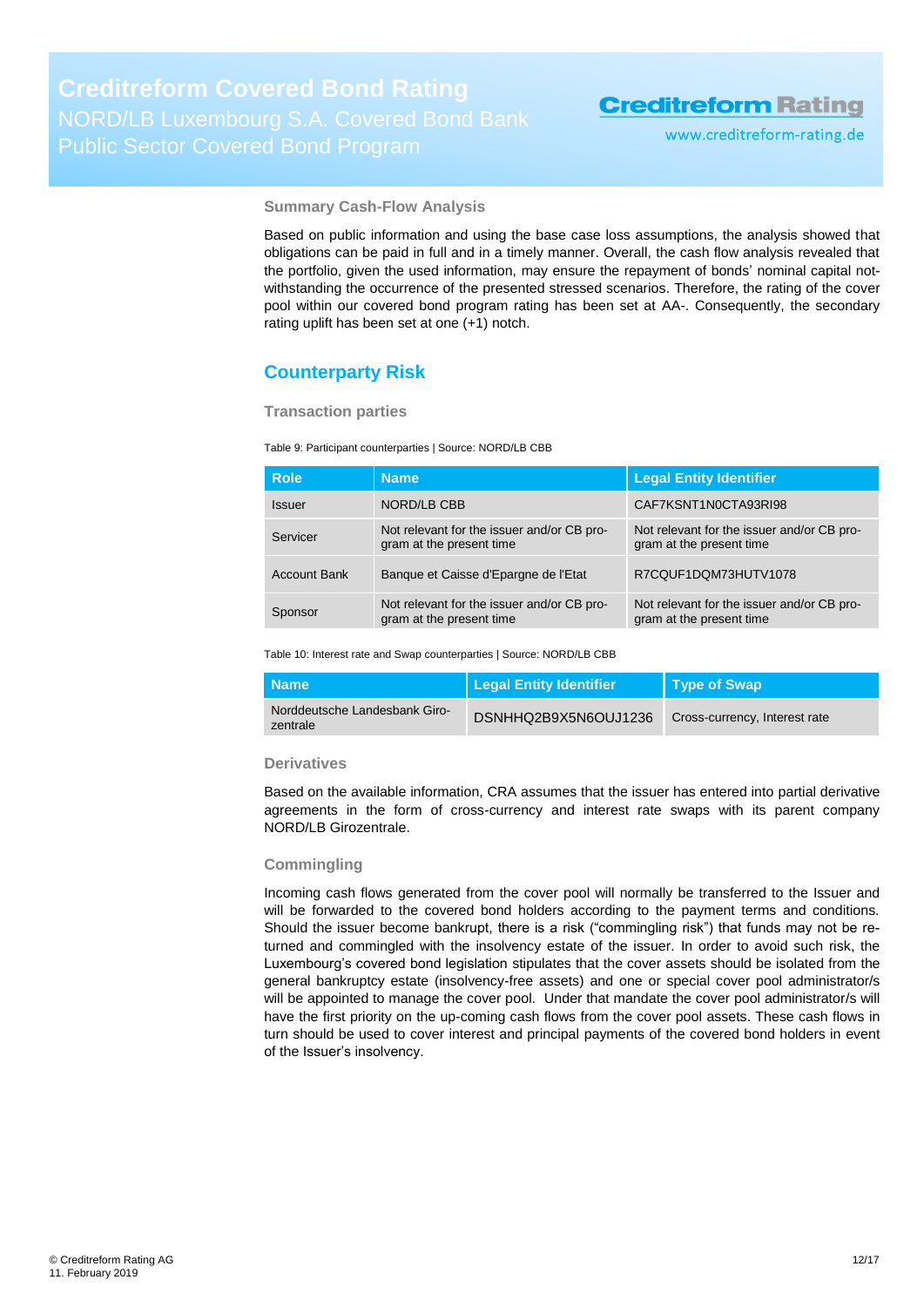www.creditreform-rating.de

**Summary Cash-Flow Analysis**

Based on public information and using the base case loss assumptions, the analysis showed that obligations can be paid in full and in a timely manner. Overall, the cash flow analysis revealed that the portfolio, given the used information, may ensure the repayment of bonds' nominal capital notwithstanding the occurrence of the presented stressed scenarios. Therefore, the rating of the cover pool within our covered bond program rating has been set at AA-. Consequently, the secondary rating uplift has been set at one (+1) notch.

### <span id="page-11-0"></span>**Counterparty Risk**

**Transaction parties**

Table 9: Participant counterparties | Source: NORD/LB CBB

| <b>Role</b>         | <b>Name</b>                                                            | <b>Legal Entity Identifier</b>                                         |
|---------------------|------------------------------------------------------------------------|------------------------------------------------------------------------|
| <b>Issuer</b>       | NORD/LB CBB                                                            | CAF7KSNT1N0CTA93RI98                                                   |
| Servicer            | Not relevant for the issuer and/or CB pro-<br>gram at the present time | Not relevant for the issuer and/or CB pro-<br>gram at the present time |
| <b>Account Bank</b> | Banque et Caisse d'Epargne de l'Etat                                   | R7CQUF1DQM73HUTV1078                                                   |
| Sponsor             | Not relevant for the issuer and/or CB pro-<br>gram at the present time | Not relevant for the issuer and/or CB pro-<br>gram at the present time |

Table 10: Interest rate and Swap counterparties | Source: NORD/LB CBB

| <b>Name</b>                               | <b>Legal Entity Identifier</b> | <b>Type of Swap</b>           |
|-------------------------------------------|--------------------------------|-------------------------------|
| Norddeutsche Landesbank Giro-<br>zentrale | DSNHHQ2B9X5N6OUJ1236           | Cross-currency, Interest rate |

#### **Derivatives**

Based on the available information, CRA assumes that the issuer has entered into partial derivative agreements in the form of cross-currency and interest rate swaps with its parent company NORD/LB Girozentrale.

#### **Commingling**

Incoming cash flows generated from the cover pool will normally be transferred to the Issuer and will be forwarded to the covered bond holders according to the payment terms and conditions. Should the issuer become bankrupt, there is a risk ("commingling risk") that funds may not be returned and commingled with the insolvency estate of the issuer. In order to avoid such risk, the Luxembourg's covered bond legislation stipulates that the cover assets should be isolated from the general bankruptcy estate (insolvency-free assets) and one or special cover pool administrator/s will be appointed to manage the cover pool. Under that mandate the cover pool administrator/s will have the first priority on the up-coming cash flows from the cover pool assets. These cash flows in turn should be used to cover interest and principal payments of the covered bond holders in event of the Issuer's insolvency.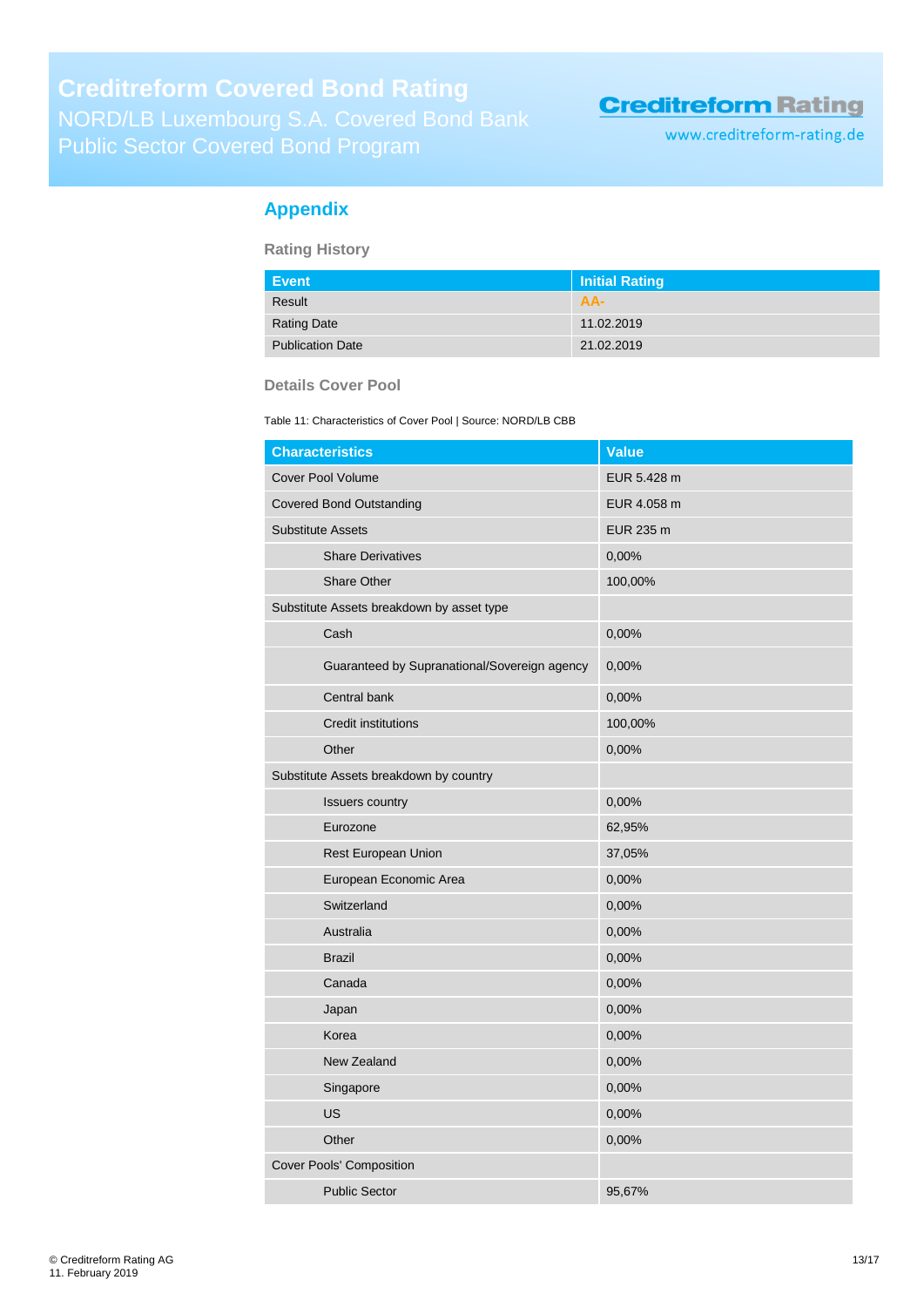www.creditreform-rating.de

### <span id="page-12-0"></span>**Appendix**

**Rating History**

| Event                   | Initial Rating |
|-------------------------|----------------|
| Result                  | AA-            |
| <b>Rating Date</b>      | 11.02.2019     |
| <b>Publication Date</b> | 21.02.2019     |

### **Details Cover Pool**

Table 11: Characteristics of Cover Pool | Source: NORD/LB CBB

| <b>Characteristics</b>                       | <b>Value</b> |
|----------------------------------------------|--------------|
| <b>Cover Pool Volume</b>                     | EUR 5.428 m  |
| <b>Covered Bond Outstanding</b>              | EUR 4.058 m  |
| <b>Substitute Assets</b>                     | EUR 235 m    |
| <b>Share Derivatives</b>                     | 0,00%        |
| Share Other                                  | 100,00%      |
| Substitute Assets breakdown by asset type    |              |
| Cash                                         | 0,00%        |
| Guaranteed by Supranational/Sovereign agency | 0,00%        |
| Central bank                                 | 0,00%        |
| <b>Credit institutions</b>                   | 100,00%      |
| Other                                        | 0,00%        |
| Substitute Assets breakdown by country       |              |
| <b>Issuers country</b>                       | 0,00%        |
| Eurozone                                     | 62,95%       |
| Rest European Union                          | 37,05%       |
| European Economic Area                       | 0,00%        |
| Switzerland                                  | 0,00%        |
| Australia                                    | 0,00%        |
| <b>Brazil</b>                                | 0,00%        |
| Canada                                       | 0,00%        |
| Japan                                        | 0,00%        |
| Korea                                        | 0,00%        |
| New Zealand                                  | 0,00%        |
| Singapore                                    | 0,00%        |
| <b>US</b>                                    | 0,00%        |
| Other                                        | 0,00%        |
| Cover Pools' Composition                     |              |
| <b>Public Sector</b>                         | 95,67%       |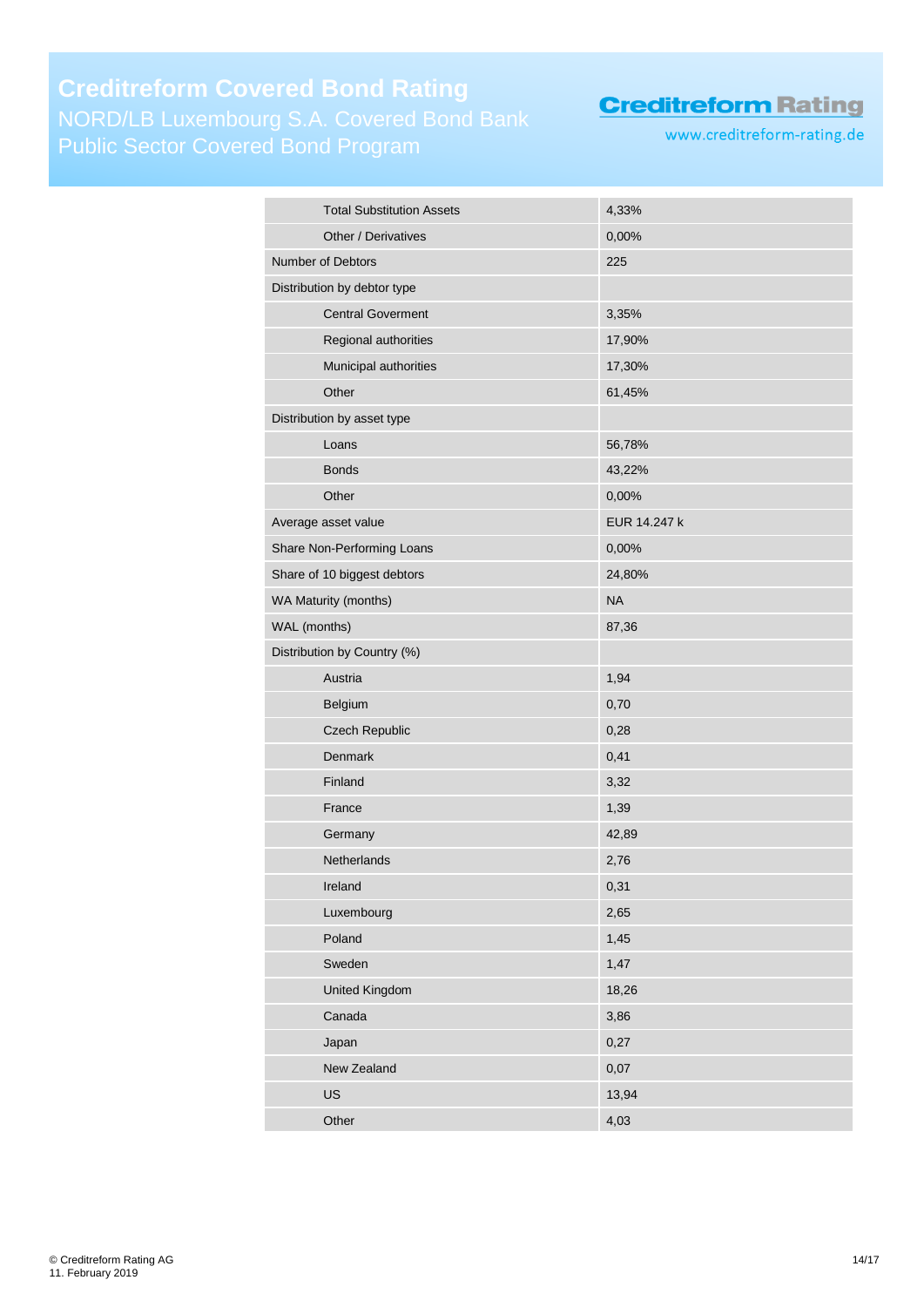# **Creditreform Covered Bond Rating** Public Sector Covered Bond Program

**Creditreform Rating** 

www.creditreform-rating.de

| <b>Total Substitution Assets</b> | 4,33%        |
|----------------------------------|--------------|
| Other / Derivatives              | 0,00%        |
| Number of Debtors                | 225          |
| Distribution by debtor type      |              |
| <b>Central Goverment</b>         | 3,35%        |
| Regional authorities             | 17,90%       |
| Municipal authorities            | 17,30%       |
| Other                            | 61,45%       |
| Distribution by asset type       |              |
| Loans                            | 56,78%       |
| <b>Bonds</b>                     | 43,22%       |
| Other                            | 0,00%        |
| Average asset value              | EUR 14.247 k |
| Share Non-Performing Loans       | 0,00%        |
| Share of 10 biggest debtors      | 24,80%       |
| WA Maturity (months)             | <b>NA</b>    |
| WAL (months)                     | 87,36        |
| Distribution by Country (%)      |              |
| Austria                          | 1,94         |
| Belgium                          | 0,70         |
| Czech Republic                   | 0,28         |
| Denmark                          | 0,41         |
| Finland                          | 3,32         |
| France                           | 1,39         |
| Germany                          | 42,89        |
| Netherlands                      | 2,76         |
| Ireland                          | 0,31         |
| Luxembourg                       | 2,65         |
| Poland                           | 1,45         |
| Sweden                           | 1,47         |
| United Kingdom                   | 18,26        |
| Canada                           | 3,86         |
| Japan                            | 0,27         |
| New Zealand                      | 0,07         |
| US                               | 13,94        |
| Other                            | 4,03         |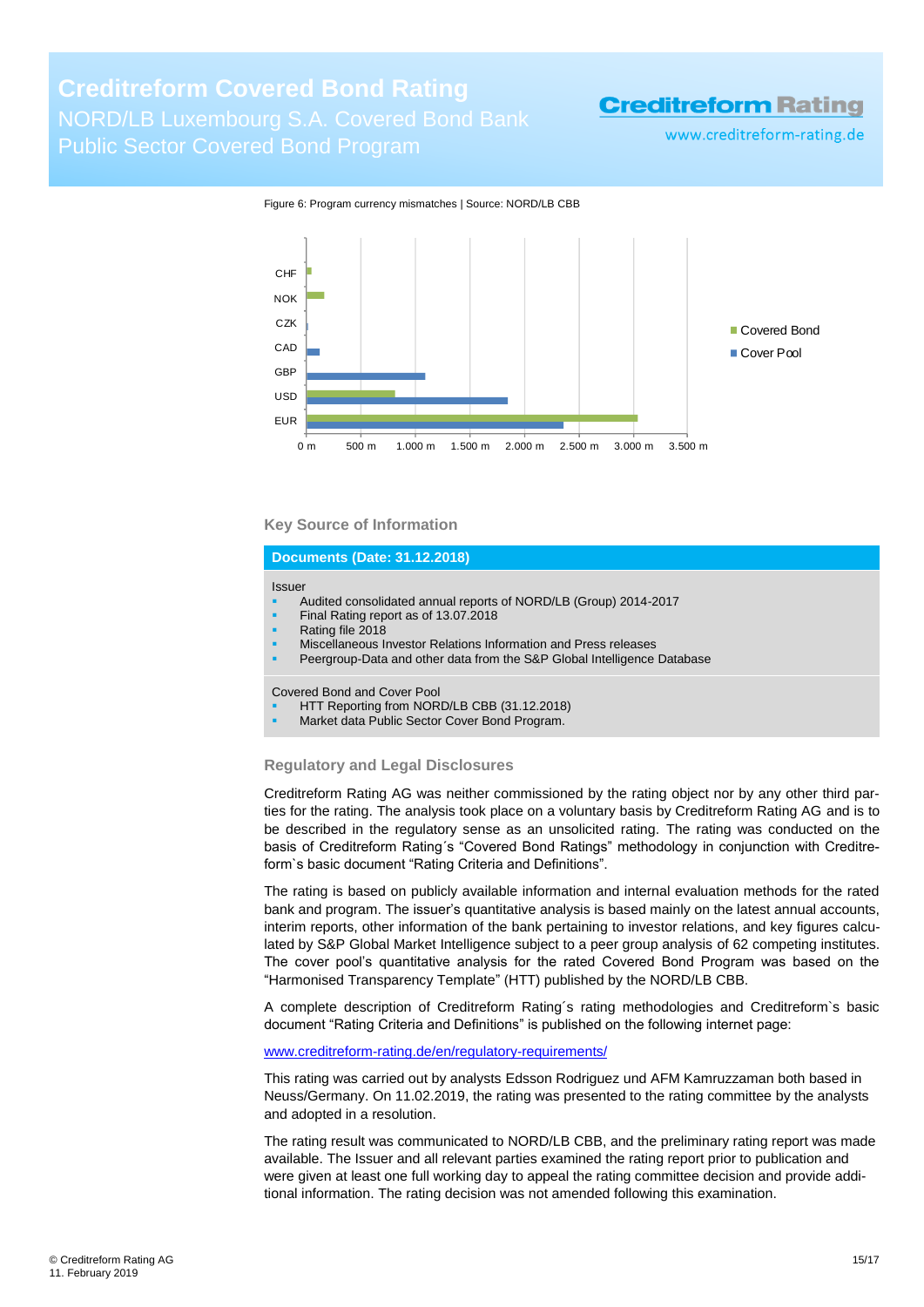www.creditreform-rating.de



#### Figure 6: Program currency mismatches | Source: NORD/LB CBB

#### **Key Source of Information**

#### **Documents (Date: 31.12.2018)**

#### Issuer

- Audited consolidated annual reports of NORD/LB (Group) 2014-2017
- Final Rating report as of 13.07.2018
- Rating file 2018
- Miscellaneous Investor Relations Information and Press releases
- Peergroup-Data and other data from the S&P Global Intelligence Database

Covered Bond and Cover Pool

- HTT Reporting from NORD/LB CBB (31.12.2018)
- Market data Public Sector Cover Bond Program.

#### **Regulatory and Legal Disclosures**

Creditreform Rating AG was neither commissioned by the rating object nor by any other third parties for the rating. The analysis took place on a voluntary basis by Creditreform Rating AG and is to be described in the regulatory sense as an unsolicited rating. The rating was conducted on the basis of Creditreform Rating´s "Covered Bond Ratings" methodology in conjunction with Creditreform`s basic document "Rating Criteria and Definitions".

The rating is based on publicly available information and internal evaluation methods for the rated bank and program. The issuer's quantitative analysis is based mainly on the latest annual accounts, interim reports, other information of the bank pertaining to investor relations, and key figures calculated by S&P Global Market Intelligence subject to a peer group analysis of 62 competing institutes. The cover pool's quantitative analysis for the rated Covered Bond Program was based on the "Harmonised Transparency Template" (HTT) published by the NORD/LB CBB.

A complete description of Creditreform Rating´s rating methodologies and Creditreform`s basic document "Rating Criteria and Definitions" is published on the following internet page:

[www.creditreform-rating.de/](http://www.creditreform-rating.de/)en/regulatory-requirements/

This rating was carried out by analysts Edsson Rodriguez und AFM Kamruzzaman both based in Neuss/Germany. On 11.02.2019, the rating was presented to the rating committee by the analysts and adopted in a resolution.

The rating result was communicated to NORD/LB CBB, and the preliminary rating report was made available. The Issuer and all relevant parties examined the rating report prior to publication and were given at least one full working day to appeal the rating committee decision and provide additional information. The rating decision was not amended following this examination.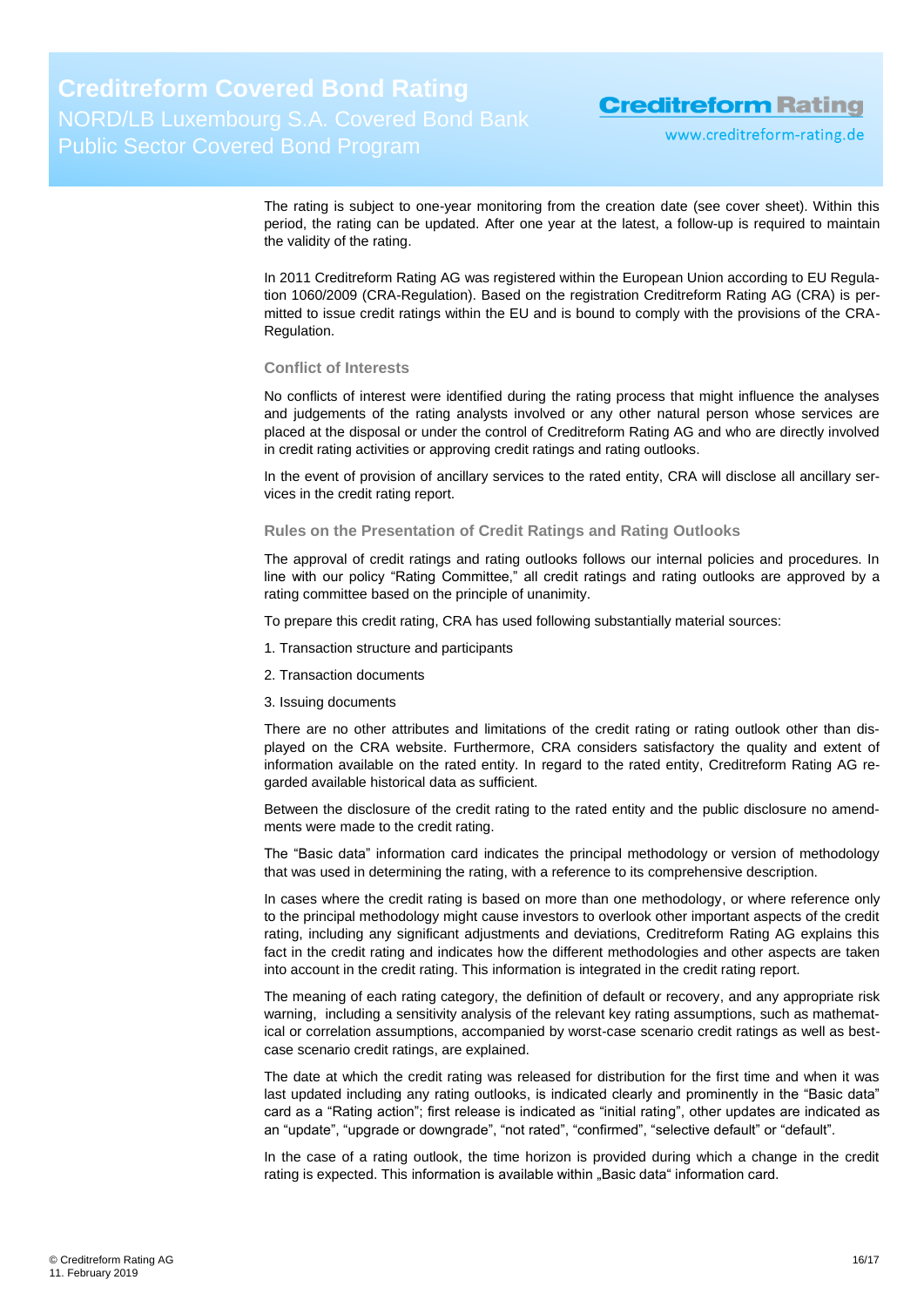www.creditreform-rating.de

The rating is subject to one-year monitoring from the creation date (see cover sheet). Within this period, the rating can be updated. After one year at the latest, a follow-up is required to maintain the validity of the rating.

In 2011 Creditreform Rating AG was registered within the European Union according to EU Regulation 1060/2009 (CRA-Regulation). Based on the registration Creditreform Rating AG (CRA) is permitted to issue credit ratings within the EU and is bound to comply with the provisions of the CRA-Regulation.

#### **Conflict of Interests**

No conflicts of interest were identified during the rating process that might influence the analyses and judgements of the rating analysts involved or any other natural person whose services are placed at the disposal or under the control of Creditreform Rating AG and who are directly involved in credit rating activities or approving credit ratings and rating outlooks.

In the event of provision of ancillary services to the rated entity, CRA will disclose all ancillary services in the credit rating report.

#### **Rules on the Presentation of Credit Ratings and Rating Outlooks**

The approval of credit ratings and rating outlooks follows our internal policies and procedures. In line with our policy "Rating Committee," all credit ratings and rating outlooks are approved by a rating committee based on the principle of unanimity.

To prepare this credit rating, CRA has used following substantially material sources:

- 1. Transaction structure and participants
- 2. Transaction documents
- 3. Issuing documents

There are no other attributes and limitations of the credit rating or rating outlook other than displayed on the CRA website. Furthermore, CRA considers satisfactory the quality and extent of information available on the rated entity. In regard to the rated entity, Creditreform Rating AG regarded available historical data as sufficient.

Between the disclosure of the credit rating to the rated entity and the public disclosure no amendments were made to the credit rating.

The "Basic data" information card indicates the principal methodology or version of methodology that was used in determining the rating, with a reference to its comprehensive description.

In cases where the credit rating is based on more than one methodology, or where reference only to the principal methodology might cause investors to overlook other important aspects of the credit rating, including any significant adjustments and deviations, Creditreform Rating AG explains this fact in the credit rating and indicates how the different methodologies and other aspects are taken into account in the credit rating. This information is integrated in the credit rating report.

The meaning of each rating category, the definition of default or recovery, and any appropriate risk warning, including a sensitivity analysis of the relevant key rating assumptions, such as mathematical or correlation assumptions, accompanied by worst-case scenario credit ratings as well as bestcase scenario credit ratings, are explained.

The date at which the credit rating was released for distribution for the first time and when it was last updated including any rating outlooks, is indicated clearly and prominently in the "Basic data" card as a "Rating action"; first release is indicated as "initial rating", other updates are indicated as an "update", "upgrade or downgrade", "not rated", "confirmed", "selective default" or "default".

In the case of a rating outlook, the time horizon is provided during which a change in the credit rating is expected. This information is available within "Basic data" information card.